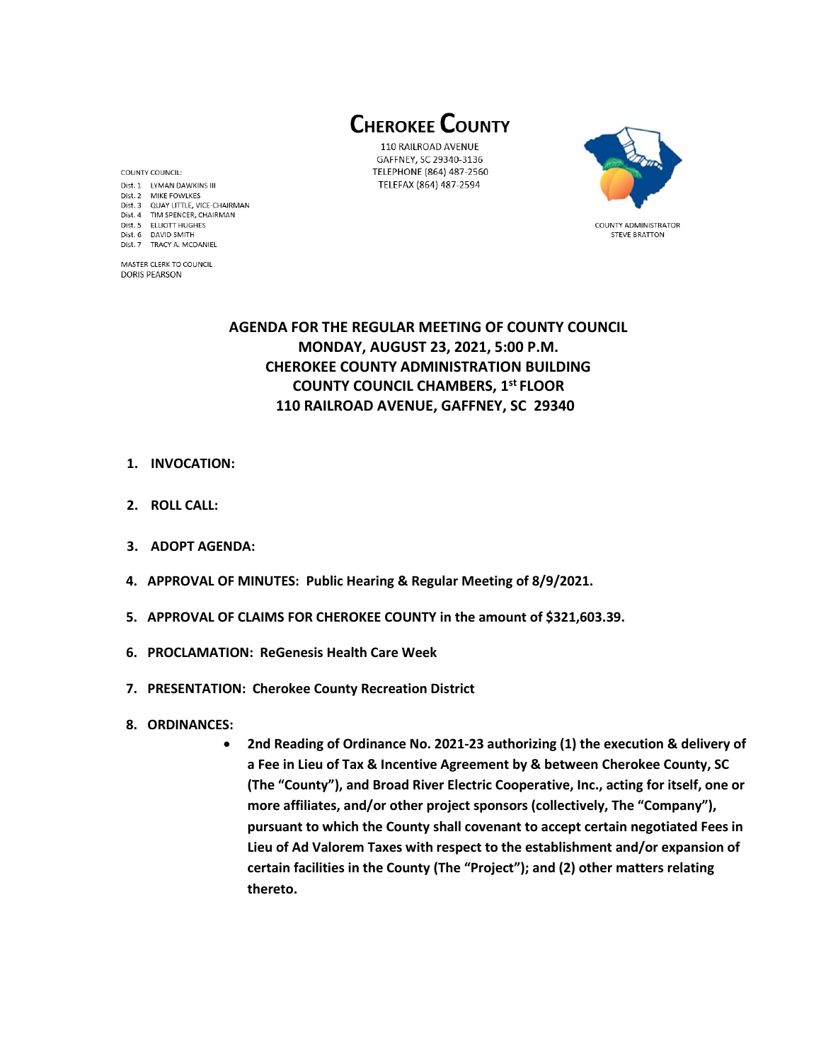**CHEROKEE COUNTY** 

110 RAILROAD AVENUE GAFFNEY, SC 29340-3136 TELEPHONE (864) 487-2560 TELEFAX (864) 487-2594



**COUNTY ADMINISTRATOR STEVE BRATTON** 

COUNTY COUNCIL: Dist. 1 LYMAN DAWKINS III Dist. 2 MIKE FOWLKES Dist. 3 QUAY LITTLE, VICE-CHAIRMAN Dist. 4 TIM SPENCER, CHAIRMAN Dist. 5 ELLIOTT HUGHES Dist. 6 DAVID SMITH Dist. 7 TRACY A. MCDANIEL

MASTER CLERK TO COUNCIL **DORIS PEARSON** 

> **AGENDA FOR THE REGULAR MEETING OF COUNTY COUNCIL MONDAY, AUGUST 23, 2021, 5:00 P.M. CHEROKEE COUNTY ADMINISTRATION BUILDING COUNTY COUNCIL CHAMBERS, 1 st FLOOR 110 RAILROAD AVENUE, GAFFNEY, SC 29340**

- **1. INVOCATION:**
- **2. ROLL CALL:**
- **3. ADOPT AGENDA:**
- **4. APPROVAL OF MINUTES: Public Hearing & Regular Meeting of 8/9/2021.**
- **5. APPROVAL OF CLAIMS FOR CHEROKEE COUNTY in the amount of \$321,603.39.**
- **6. PROCLAMATION: ReGenesis Health Care Week**
- **7. PRESENTATION: Cherokee County Recreation District**
- **8. ORDINANCES:** 
	- **2nd Reading of Ordinance No. 2021-23 authorizing (1) the execution & delivery of a Fee in Lieu of Tax & Incentive Agreement by & between Cherokee County, SC (The "County"), and Broad River Electric Cooperative, Inc., acting for itself, one or more affiliates, and/or other project sponsors (collectively, The "Company"), pursuant to which the County shall covenant to accept certain negotiated Fees in Lieu of Ad Valorem Taxes with respect to the establishment and/or expansion of certain facilities in the County (The "Project"); and (2) other matters relating thereto.**